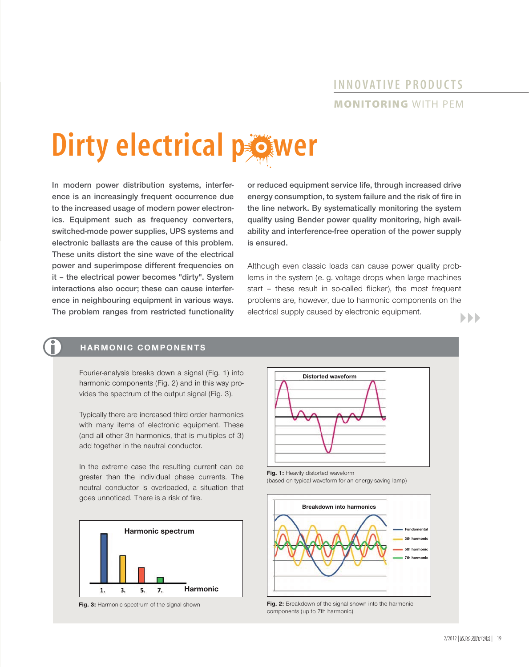# **INNOVATIVE PRODUCTS MONITORING** WITH PEM

# **Dirty electrical power**

**In modern power distribution systems, interference is an increasingly frequent occurrence due to the increased usage of modern power electronics. Equipment such as frequency converters, switched-mode power supplies, UPS systems and electronic ballasts are the cause of this problem. These units distort the sine wave of the electrical power and superimpose different frequencies on it – the electrical power becomes "dirty". System interactions also occur; these can cause interference in neighbouring equipment in various ways. The problem ranges from restricted functionality**  **or reduced equipment service life, through increased drive**  energy consumption, to system failure and the risk of fire in **the line network. By systematically monitoring the system quality using Bender power quality monitoring, high availability and interference-free operation of the power supply is ensured.**

Although even classic loads can cause power quality problems in the system (e. g. voltage drops when large machines start - these result in so-called flicker), the most frequent problems are, however, due to harmonic components on the electrical supply caused by electronic equipment.  $\blacktriangleright\blacktriangleright\blacktriangleright$ 

#### **HARMONIC COMPONENTS**

Fourier-analysis breaks down a signal (Fig. 1) into harmonic components (Fig. 2) and in this way provides the spectrum of the output signal (Fig. 3).

Typically there are increased third order harmonics with many items of electronic equipment. These (and all other 3n harmonics, that is multiples of 3) add together in the neutral conductor.

In the extreme case the resulting current can be greater than the individual phase currents. The neutral conductor is overloaded, a situation that goes unnoticed. There is a risk of fire.







Fig. 1: Heavily distorted waveform (based on typical waveform for an energy-saving lamp)



**Fig. 2:** Breakdown of the signal shown into the harmonic components (up to 7th harmonic)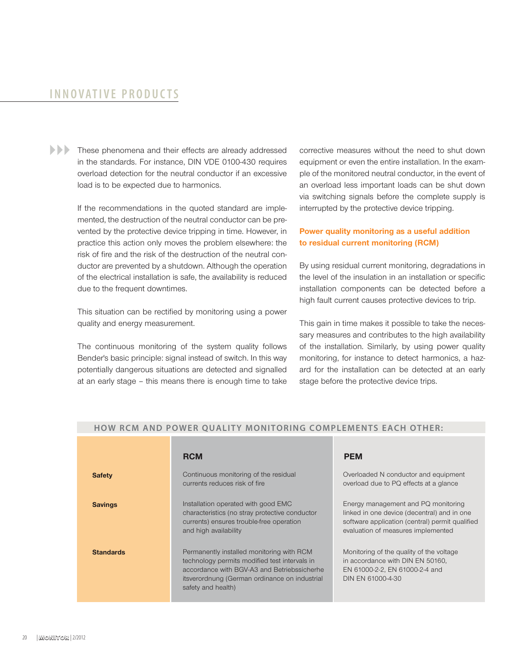### **INNOVATIVE PRODUCTS**

**These phenomena and their effects are already addressed** in the standards. For instance, DIN VDE 0100-430 requires overload detection for the neutral conductor if an excessive load is to be expected due to harmonics.

> If the recommendations in the quoted standard are implemented, the destruction of the neutral conductor can be prevented by the protective device tripping in time. However, in practice this action only moves the problem elsewhere: the risk of fire and the risk of the destruction of the neutral conductor are prevented by a shutdown. Although the operation of the electrical installation is safe, the availability is reduced due to the frequent downtimes.

> This situation can be rectified by monitoring using a power quality and energy measurement.

> The continuous monitoring of the system quality follows Bender's basic principle: signal instead of switch. In this way potentially dangerous situations are detected and signalled at an early stage – this means there is enough time to take

corrective measures without the need to shut down equipment or even the entire installation. In the example of the monitored neutral conductor, in the event of an overload less important loads can be shut down via switching signals before the complete supply is interrupted by the protective device tripping.

#### **Power quality monitoring as a useful addition to residual current monitoring (RCM)**

By using residual current monitoring, degradations in the level of the insulation in an installation or specific installation components can be detected before a high fault current causes protective devices to trip.

This gain in time makes it possible to take the necessary measures and contributes to the high availability of the installation. Similarly, by using power quality monitoring, for instance to detect harmonics, a hazard for the installation can be detected at an early stage before the protective device trips.

|                  | <b>RCM</b>                                                                                                                                                                                                       | <b>PEM</b>                                                                                                                                                                  |
|------------------|------------------------------------------------------------------------------------------------------------------------------------------------------------------------------------------------------------------|-----------------------------------------------------------------------------------------------------------------------------------------------------------------------------|
| <b>Safety</b>    | Continuous monitoring of the residual<br>currents reduces risk of fire                                                                                                                                           | Overloaded N conductor and equipment<br>overload due to PQ effects at a glance                                                                                              |
| <b>Savings</b>   | Installation operated with good EMC<br>characteristics (no stray protective conductor<br>currents) ensures trouble-free operation<br>and high availability                                                       | Energy management and PQ monitoring<br>linked in one device (decentral) and in one<br>software application (central) permit qualified<br>evaluation of measures implemented |
| <b>Standards</b> | Permanently installed monitoring with RCM<br>technology permits modified test intervals in<br>accordance with BGV-A3 and Betriebssicherhe<br>itsverordnung (German ordinance on industrial<br>safety and health) | Monitoring of the quality of the voltage<br>in accordance with DIN EN 50160,<br>EN 61000-2-2, EN 61000-2-4 and<br>DIN EN 61000-4-30                                         |

#### **HOW RCM AND POWER QUALITY MONITORING COMPLEMENTS EACH OTHER:**